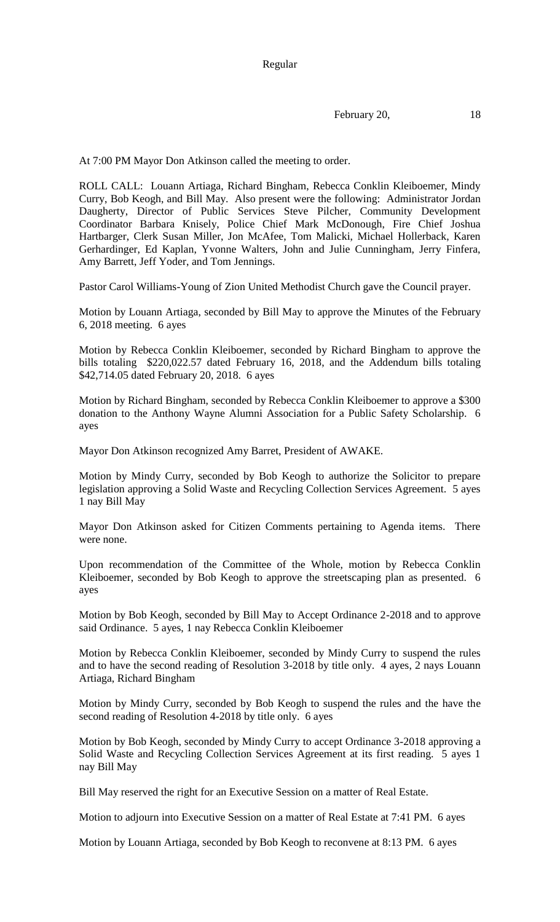Regular

February 20, 18

At 7:00 PM Mayor Don Atkinson called the meeting to order.

ROLL CALL: Louann Artiaga, Richard Bingham, Rebecca Conklin Kleiboemer, Mindy Curry, Bob Keogh, and Bill May. Also present were the following: Administrator Jordan Daugherty, Director of Public Services Steve Pilcher, Community Development Coordinator Barbara Knisely, Police Chief Mark McDonough, Fire Chief Joshua Hartbarger, Clerk Susan Miller, Jon McAfee, Tom Malicki, Michael Hollerback, Karen Gerhardinger, Ed Kaplan, Yvonne Walters, John and Julie Cunningham, Jerry Finfera, Amy Barrett, Jeff Yoder, and Tom Jennings.

Pastor Carol Williams-Young of Zion United Methodist Church gave the Council prayer.

Motion by Louann Artiaga, seconded by Bill May to approve the Minutes of the February 6, 2018 meeting. 6 ayes

Motion by Rebecca Conklin Kleiboemer, seconded by Richard Bingham to approve the bills totaling \$220,022.57 dated February 16, 2018, and the Addendum bills totaling \$42,714.05 dated February 20, 2018. 6 ayes

Motion by Richard Bingham, seconded by Rebecca Conklin Kleiboemer to approve a \$300 donation to the Anthony Wayne Alumni Association for a Public Safety Scholarship. 6 ayes

Mayor Don Atkinson recognized Amy Barret, President of AWAKE.

Motion by Mindy Curry, seconded by Bob Keogh to authorize the Solicitor to prepare legislation approving a Solid Waste and Recycling Collection Services Agreement. 5 ayes 1 nay Bill May

Mayor Don Atkinson asked for Citizen Comments pertaining to Agenda items. There were none.

Upon recommendation of the Committee of the Whole, motion by Rebecca Conklin Kleiboemer, seconded by Bob Keogh to approve the streetscaping plan as presented. 6 ayes

Motion by Bob Keogh, seconded by Bill May to Accept Ordinance 2-2018 and to approve said Ordinance. 5 ayes, 1 nay Rebecca Conklin Kleiboemer

Motion by Rebecca Conklin Kleiboemer, seconded by Mindy Curry to suspend the rules and to have the second reading of Resolution 3-2018 by title only. 4 ayes, 2 nays Louann Artiaga, Richard Bingham

Motion by Mindy Curry, seconded by Bob Keogh to suspend the rules and the have the second reading of Resolution 4-2018 by title only. 6 ayes

Motion by Bob Keogh, seconded by Mindy Curry to accept Ordinance 3-2018 approving a Solid Waste and Recycling Collection Services Agreement at its first reading. 5 ayes 1 nay Bill May

Bill May reserved the right for an Executive Session on a matter of Real Estate.

Motion to adjourn into Executive Session on a matter of Real Estate at 7:41 PM. 6 ayes

Motion by Louann Artiaga, seconded by Bob Keogh to reconvene at 8:13 PM. 6 ayes